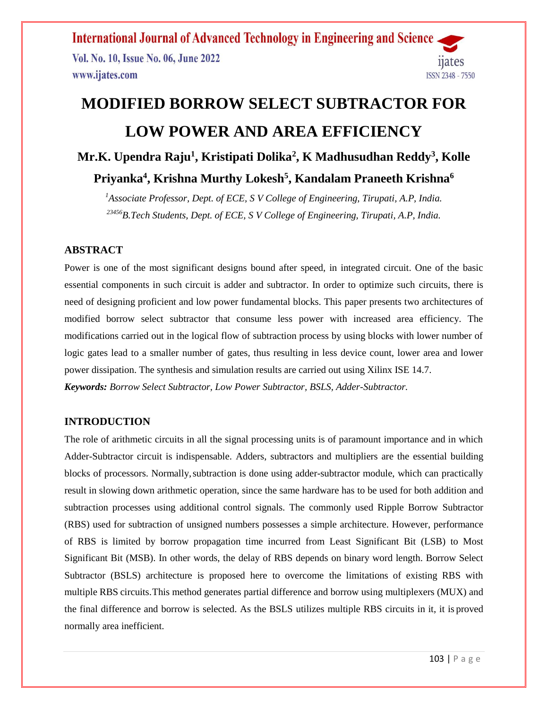**International Journal of Advanced Technology in Engineering and Science** Vol. No. 10, Issue No. 06, June 2022 112 TPS www.ijates.com ISSN 2348 - 7550

# **MODIFIED BORROW SELECT SUBTRACTOR FOR LOW POWER AND AREA EFFICIENCY Mr.K. Upendra Raju<sup>1</sup> , Kristipati Dolika<sup>2</sup> , K Madhusudhan Reddy<sup>3</sup> , Kolle**

**Priyanka<sup>4</sup> , Krishna Murthy Lokesh<sup>5</sup> , Kandalam Praneeth Krishna<sup>6</sup>**

*<sup>1</sup>Associate Professor, Dept. of ECE, S V College of Engineering, Tirupati, A.P, India. <sup>23456</sup>B.Tech Students, Dept. of ECE, S V College of Engineering, Tirupati, A.P, India.*

## **ABSTRACT**

Power is one of the most significant designs bound after speed, in integrated circuit. One of the basic essential components in such circuit is adder and subtractor. In order to optimize such circuits, there is need of designing proficient and low power fundamental blocks. This paper presents two architectures of modified borrow select subtractor that consume less power with increased area efficiency. The modifications carried out in the logical flow of subtraction process by using blocks with lower number of logic gates lead to a smaller number of gates, thus resulting in less device count, lower area and lower power dissipation. The synthesis and simulation results are carried out using Xilinx ISE 14.7. *Keywords: Borrow Select Subtractor, Low Power Subtractor, BSLS, Adder-Subtractor.*

## **INTRODUCTION**

The role of arithmetic circuits in all the signal processing units is of paramount importance and in which Adder-Subtractor circuit is indispensable. Adders, subtractors and multipliers are the essential building blocks of processors. Normally,subtraction is done using adder-subtractor module, which can practically result in slowing down arithmetic operation, since the same hardware has to be used for both addition and subtraction processes using additional control signals. The commonly used Ripple Borrow Subtractor (RBS) used for subtraction of unsigned numbers possesses a simple architecture. However, performance of RBS is limited by borrow propagation time incurred from Least Significant Bit (LSB) to Most Significant Bit (MSB). In other words, the delay of RBS depends on binary word length. Borrow Select Subtractor (BSLS) architecture is proposed here to overcome the limitations of existing RBS with multiple RBS circuits.This method generates partial difference and borrow using multiplexers (MUX) and the final difference and borrow is selected. As the BSLS utilizes multiple RBS circuits in it, it is proved normally area inefficient.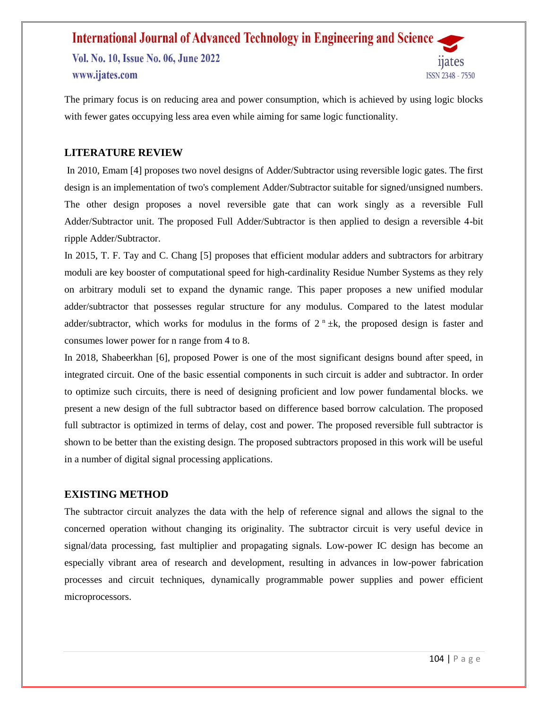## **International Journal of Advanced Technology in Engineering and Science** Vol. No. 10, Issue No. 06, June 2022 www.ijates.com ISSN 2348 - 7550

The primary focus is on reducing area and power consumption, which is achieved by using logic blocks with fewer gates occupying less area even while aiming for same logic functionality.

## **LITERATURE REVIEW**

In 2010, Emam [4] proposes two novel designs of Adder/Subtractor using reversible logic gates. The first design is an implementation of two's complement Adder/Subtractor suitable for signed/unsigned numbers. The other design proposes a novel reversible gate that can work singly as a reversible Full Adder/Subtractor unit. The proposed Full Adder/Subtractor is then applied to design a reversible 4-bit ripple Adder/Subtractor.

In 2015, T. F. Tay and C. Chang [5] proposes that efficient modular adders and subtractors for arbitrary moduli are key booster of computational speed for high-cardinality Residue Number Systems as they rely on arbitrary moduli set to expand the dynamic range. This paper proposes a new unified modular adder/subtractor that possesses regular structure for any modulus. Compared to the latest modular adder/subtractor, which works for modulus in the forms of  $2^n \pm k$ , the proposed design is faster and consumes lower power for n range from 4 to 8.

In 2018, Shabeerkhan [6], proposed Power is one of the most significant designs bound after speed, in integrated circuit. One of the basic essential components in such circuit is adder and subtractor. In order to optimize such circuits, there is need of designing proficient and low power fundamental blocks. we present a new design of the full subtractor based on difference based borrow calculation. The proposed full subtractor is optimized in terms of delay, cost and power. The proposed reversible full subtractor is shown to be better than the existing design. The proposed subtractors proposed in this work will be useful in a number of digital signal processing applications.

#### **EXISTING METHOD**

The subtractor circuit analyzes the data with the help of reference signal and allows the signal to the concerned operation without changing its originality. The subtractor circuit is very useful device in signal/data processing, fast multiplier and propagating signals. Low-power IC design has become an especially vibrant area of research and development, resulting in advances in low-power fabrication processes and circuit techniques, dynamically programmable power supplies and power efficient microprocessors.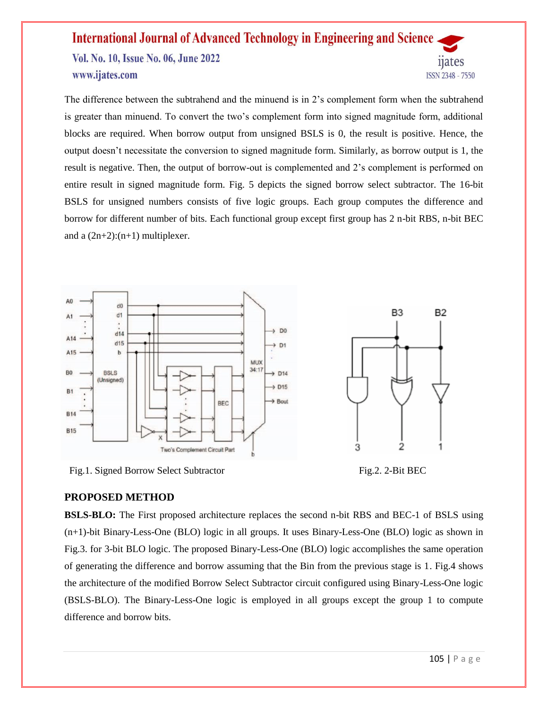Vol. No. 10, Issue No. 06, June 2022 www.ijates.com

The difference between the subtrahend and the minuend is in 2's complement form when the subtrahend is greater than minuend. To convert the two's complement form into signed magnitude form, additional blocks are required. When borrow output from unsigned BSLS is 0, the result is positive. Hence, the output doesn't necessitate the conversion to signed magnitude form. Similarly, as borrow output is 1, the result is negative. Then, the output of borrow-out is complemented and 2's complement is performed on entire result in signed magnitude form. Fig. 5 depicts the signed borrow select subtractor. The 16-bit BSLS for unsigned numbers consists of five logic groups. Each group computes the difference and borrow for different number of bits. Each functional group except first group has 2 n-bit RBS, n-bit BEC and a  $(2n+2):(n+1)$  multiplexer.



Fig.1. Signed Borrow Select Subtractor Fig.2. 2-Bit BEC



## **PROPOSED METHOD**

**BSLS-BLO:** The First proposed architecture replaces the second n-bit RBS and BEC-1 of BSLS using (n+1)-bit Binary-Less-One (BLO) logic in all groups. It uses Binary-Less-One (BLO) logic as shown in Fig.3. for 3-bit BLO logic. The proposed Binary-Less-One (BLO) logic accomplishes the same operation of generating the difference and borrow assuming that the Bin from the previous stage is 1. Fig.4 shows the architecture of the modified Borrow Select Subtractor circuit configured using Binary-Less-One logic (BSLS-BLO). The Binary-Less-One logic is employed in all groups except the group 1 to compute difference and borrow bits.

11ates

ISSN 2348 - 7550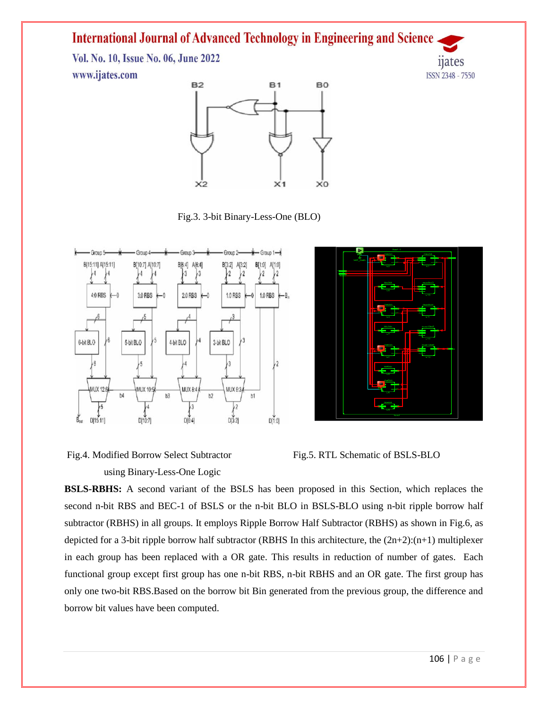Vol. No. 10, Issue No. 06, June 2022 www.ijates.com





Fig.3. 3-bit Binary-Less-One (BLO)



Fig.4. Modified Borrow Select Subtractor Fig.5. RTL Schematic of BSLS-BLO using Binary-Less-One Logic





**BSLS-RBHS:** A second variant of the BSLS has been proposed in this Section, which replaces the second n-bit RBS and BEC-1 of BSLS or the n-bit BLO in BSLS-BLO using n-bit ripple borrow half subtractor (RBHS) in all groups. It employs Ripple Borrow Half Subtractor (RBHS) as shown in Fig.6, as depicted for a 3-bit ripple borrow half subtractor (RBHS In this architecture, the (2n+2):(n+1) multiplexer in each group has been replaced with a OR gate. This results in reduction of number of gates. Each functional group except first group has one n-bit RBS, n-bit RBHS and an OR gate. The first group has only one two-bit RBS.Based on the borrow bit Bin generated from the previous group, the difference and borrow bit values have been computed.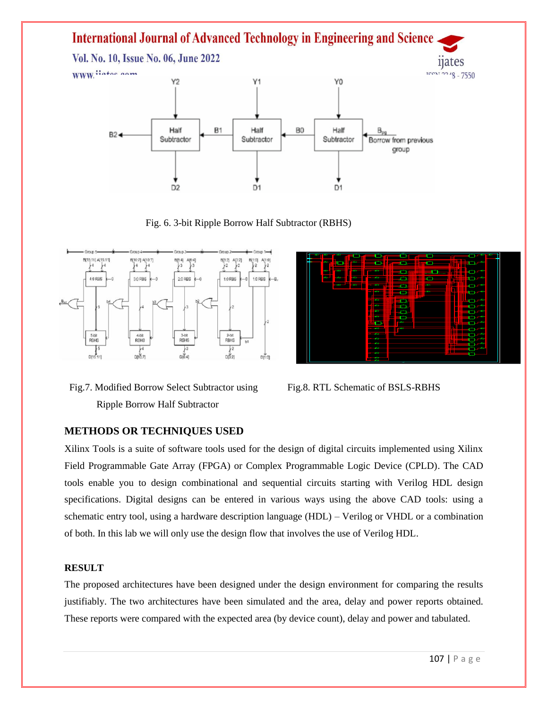

Fig. 6. 3-bit Ripple Borrow Half Subtractor (RBHS)







## **METHODS OR TECHNIQUES USED**

Xilinx Tools is a suite of software tools used for the design of digital circuits implemented using Xilinx Field Programmable Gate Array (FPGA) or Complex Programmable Logic Device (CPLD). The CAD tools enable you to design combinational and sequential circuits starting with Verilog HDL design specifications. Digital designs can be entered in various ways using the above CAD tools: using a schematic entry tool, using a hardware description language (HDL) – Verilog or VHDL or a combination of both. In this lab we will only use the design flow that involves the use of Verilog HDL.

#### **RESULT**

The proposed architectures have been designed under the design environment for comparing the results justifiably. The two architectures have been simulated and the area, delay and power reports obtained. These reports were compared with the expected area (by device count), delay and power and tabulated.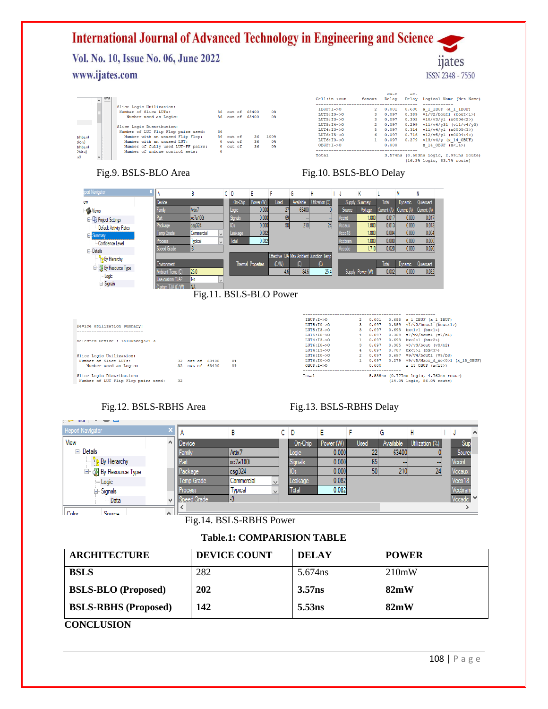Vol. No. 10, Issue No. 06, June 2022 www.ijates.com

| m<br>$\overline{A}$ |                                                                                                                                                                          |           |                                     |                 |                      | $Ce11:in -$ >out                                                                      | fanout       | vauc<br>Delay                             | <b>INCL.</b> | Delay Logical Name (Net Name)                                                                                                                                                        |
|---------------------|--------------------------------------------------------------------------------------------------------------------------------------------------------------------------|-----------|-------------------------------------|-----------------|----------------------|---------------------------------------------------------------------------------------|--------------|-------------------------------------------|--------------|--------------------------------------------------------------------------------------------------------------------------------------------------------------------------------------|
|                     | Slice Logic Utilization:<br>Number of Slice LUTs:<br>Number used as Logic:                                                                                               |           | 36 out of 63400<br>36 out of 63400  |                 | $0*$<br>0%           | $IBUF:I->O$<br>$LUT5:10->0$<br>$LUT5:13->0$                                           | $\mathbf{2}$ | 0.001<br>0.097<br>0.097                   |              | 0.688 a 1 IBUF (a 1 IBUF)<br>$0.389 \text{ v}1/\text{v}2/\text{b}$ outl (bout<1>)<br>$0.305 \text{ v}10/\text{v}3/\text{v}1 \text{ (n0006<2>)}$                                      |
|                     | Slice Logic Distribution:<br>Number of LUT Flip Flop pairs used:<br>Number with an unused Flip Flop:<br>Number with an unused LUT:<br>Number of fully used LUT-FF pairs: | 36        | 36 out of<br>$0$ out of<br>0 out of | 36.<br>36<br>36 | 100%<br>$0*$<br>$0*$ | $LUT5:14->0$<br>$I.$ UT4 : $I.3 - > 0$<br>$LUT6:IS->O$<br>$LUT6:10->0$<br>$OBUF:I->O$ | 6.           | 0.097<br>0.097<br>0.097<br>0.097<br>0.000 |              | $0.299$ vll/v4/v31 (vll/v4/v3)<br>$0.314 \text{ v}11/\text{v}4/\text{y}1 \text{ (}n0005<3>)$<br>$0.716$ v12/v5/y1 (n0004<4>)<br>$0.279$ v13/v4/v (x 14 OBUF)<br>$x$ 14 OBUF $(x<14)$ |
| $\checkmark$        | Number of unique control sets:                                                                                                                                           | $\bullet$ |                                     |                 |                      | Total                                                                                 |              |                                           |              | 3.574ns (0.583ns logic, 2.991ns route)<br>(16.3% logic, 83.7% route)                                                                                                                 |

### Fig.9. BSLS-BLO Area Fig.10. BSLS-BLO Delay

trhbs.v)<br>blo.v)<br>trhbs.v)<br>2bit.v)

 $\mathbf{v}$ 

5.538ns (0.777ns logic, 4.762ns route)<br>(14.0% logic, 86.0% route)

*n*ates

ISSN 2348 - 7550

|                                                                                                                                               | Α                | B                                     |        | C D        | Ε                  | G               | н                                       |      |         | К                |                | M           | N                                                               |  |
|-----------------------------------------------------------------------------------------------------------------------------------------------|------------------|---------------------------------------|--------|------------|--------------------|-----------------|-----------------------------------------|------|---------|------------------|----------------|-------------|-----------------------------------------------------------------|--|
| ew                                                                                                                                            | Device           |                                       |        | On-Chip    | Power (W)          | Used            | Available<br>Utilization (%)            |      | Supply  | Summary          | Total          | Dynamic     | Quiescent                                                       |  |
| Views                                                                                                                                         | Family           | Artix <sub>7</sub>                    |        | Logic      | 0.000              | 27              | 63400                                   |      | Source  | Voltage          | Current (A)    | Current (A) | Current (A)                                                     |  |
| <b>E U<sub>2</sub></b> Project Settings                                                                                                       | Part             | xc7a100t                              |        | Signals    | 0.000              | 69              |                                         |      | Vccint  | 1.000            | 0.017          |             | 0.000<br>0.017                                                  |  |
| Default Activity Rates                                                                                                                        | Package          | csg324                                |        | 0s         | 0.000              | 50 <sub>1</sub> | 210                                     | 24   | /ccaux  | 1.800            | 0.013          |             | 0.013<br>0.000                                                  |  |
| <b>Elle</b> Summary                                                                                                                           | Temp Grade       | Commercial                            |        | Leakage    | 0.082              |                 |                                         |      | Vcco18  | 1.800            | 0.004          |             | 0.004<br>0.000                                                  |  |
| Confidence Level                                                                                                                              | Process          | <b>Typical</b>                        | $\vee$ | Total      | 0.082              |                 |                                         |      | Vccbram | 1.000            | 0.000          |             | 0.000<br>0.000                                                  |  |
|                                                                                                                                               | Speed Grade      | -3                                    |        |            |                    |                 |                                         |      | Vccadc  | 1.710            | 0.020          |             | 0.020<br>0.000                                                  |  |
| <b>⊟</b> Details                                                                                                                              |                  |                                       |        |            |                    |                 | Effective TJA Max Ambient Junction Temp |      |         |                  |                |             |                                                                 |  |
| <b>By Hierarchy</b>                                                                                                                           | Environment      |                                       |        |            | Thermal Properties | (C/M)           | $\left( 0\right)$                       | (C)  |         |                  | Total          | Dynamic     | Quiescent                                                       |  |
| <b>E</b> M By Resource Type                                                                                                                   | Ambient Temp (C) | 25.0                                  |        |            |                    | 4.6             | 84.6                                    | 25.4 |         | Supply Power (W) | 0.082          |             | 0.000<br>0.082                                                  |  |
| Logic                                                                                                                                         | Use custom TJA?  | No                                    |        |            |                    |                 |                                         |      |         |                  |                |             |                                                                 |  |
| <b>⊟</b> -Signals                                                                                                                             | Custom TJA (C/W) | <b>NA</b>                             |        |            |                    |                 |                                         |      |         |                  |                |             |                                                                 |  |
|                                                                                                                                               |                  |                                       |        |            |                    |                 |                                         |      |         |                  |                |             |                                                                 |  |
|                                                                                                                                               |                  |                                       |        |            |                    |                 |                                         |      |         |                  |                |             |                                                                 |  |
|                                                                                                                                               |                  | Fig.11. BSLS-BLO Power                |        |            |                    |                 |                                         |      |         |                  |                |             |                                                                 |  |
|                                                                                                                                               |                  |                                       |        |            |                    |                 |                                         |      |         |                  |                |             |                                                                 |  |
|                                                                                                                                               |                  |                                       |        |            |                    |                 | $IBUF:I->O$                             |      |         | $\mathbf{2}$     | 0.001          |             | 0.688 a 1 IBUF (a 1 IBUF)                                       |  |
|                                                                                                                                               |                  |                                       |        |            |                    |                 | $LUT5:10->0$                            |      |         | 3                | 0.097          |             | $0.389 \text{ v1/v2/bout1}$ (bout<1>)                           |  |
|                                                                                                                                               |                  |                                       |        |            |                    |                 | $LUT5:13->0$                            |      |         | 3                | 0.097          | 0.693       | $bx < 1>1$ ( $bx < 1>$ )                                        |  |
|                                                                                                                                               |                  |                                       |        |            |                    |                 | $LUT5:TO-50$                            |      |         | 4                | 0.097          | 0.309       | $v7/v2/bout1$ ( $v7/b1$ )                                       |  |
|                                                                                                                                               |                  |                                       |        |            |                    |                 | $LUT4:13->0$                            |      |         |                  | 0.097          |             | $0.693$ bx<2>1 (bx<2>)                                          |  |
|                                                                                                                                               |                  |                                       |        |            |                    |                 | $LUT6:10->0$                            |      |         | 3                | 0.097          |             | $0.305$ v8/v3/bout (v8/b2)                                      |  |
|                                                                                                                                               |                  |                                       |        |            |                    |                 | $LUT4:13->0$                            |      |         | 4                | 0.097          |             | $0.707$ bx<3>1 (bx<3>)                                          |  |
|                                                                                                                                               |                  |                                       |        |            |                    |                 | $LUT6:10->0$                            |      |         | $\overline{2}$   | 0.097          |             | $0.697$ v9/v4/boutl (v9/b3)                                     |  |
| Device utilization summary:<br>Selected Device : 7a100tcsq324-3<br>Slice Logic Utilization:<br>Number of Slice LUTs:<br>Number used as Logic: |                  | 32 out of<br>63400<br>32 out of 63400 |        | $0*$<br>0% |                    |                 | $LUT6:10->0$<br>$OBUF:I->O$             |      |         | $\mathbf{1}$     | 0.097<br>0.000 |             | $0.279$ v9/v5/Mxor d xo<0>1 (x 15 OBUF)<br>$x$ 15 OBUF $(x<15)$ |  |

Slice Logic Distribution:<br>Number of LUT Flip Flop pairs used: 32

## Fig.12. BSLS-RBHS Area Fig.13. BSLS-RBHS Delay

Total

| $\mathcal{L}^{\mathcal{L}}$<br>and the state of the<br>ىسا |    |             |                    |              |     |         |           |      |           |                 |                     |          |
|------------------------------------------------------------|----|-------------|--------------------|--------------|-----|---------|-----------|------|-----------|-----------------|---------------------|----------|
| Report Navigator                                           |    | А           | B                  |              | C D |         | E         |      | G         | Н               | J                   | $\wedge$ |
| View                                                       | A. | Device      |                    |              |     | On-Chip | Power (W) | Used | Available | Utilization (%) | Sup                 |          |
| ⊟ Details                                                  |    | Family      | Artix <sub>7</sub> |              |     | Logic   | 0.000     | 22   | 63400     |                 | Source              |          |
| $\frac{D}{2}$ By Hierarchy                                 |    | Part        | xc7a100t           |              |     | Signals | 0.000     | 65   |           | $\cdots$        | <b>Vccint</b>       |          |
| By Resource Type                                           |    | Package     | csg324             |              |     |         | 0.000     | 50   | 210       | 24              | Vccaux              |          |
| - Logic                                                    |    | Temp Grade  | Commercial         | $\checkmark$ |     | Leakage | 0.082     |      |           |                 | Vcco <sub>18</sub>  |          |
| <b><math>⊟</math></b> Signals                              |    | Process     | <b>Typical</b>     | $\checkmark$ |     | Total   | 0.082     |      |           |                 | Vccbran             |          |
| — Data                                                     | v  | Speed Grade | -3                 |              |     |         |           |      |           |                 | Vccadc <sup>V</sup> |          |
| <b>Color</b><br>Source                                     |    |             |                    |              |     |         |           |      |           |                 |                     |          |
|                                                            |    | 'n.         | $11$ DOI C DDIICD  |              |     |         |           |      |           |                 |                     |          |

Fig.14. BSLS-RBHS Power

#### **Table.1: COMPARISION TABLE**

| <b>ARCHITECTURE</b>         | <b>DEVICE COUNT</b> | <b>DELAY</b>       | <b>POWER</b> |
|-----------------------------|---------------------|--------------------|--------------|
| <b>BSLS</b>                 | 282                 | 5.674ns            | 210mW        |
| <b>BSLS-BLO</b> (Proposed)  | 202                 | 3.57 <sub>ns</sub> | 82mW         |
| <b>BSLS-RBHS</b> (Proposed) | 142                 | 5.53 <sub>ns</sub> | 82mW         |

#### **CONCLUSION**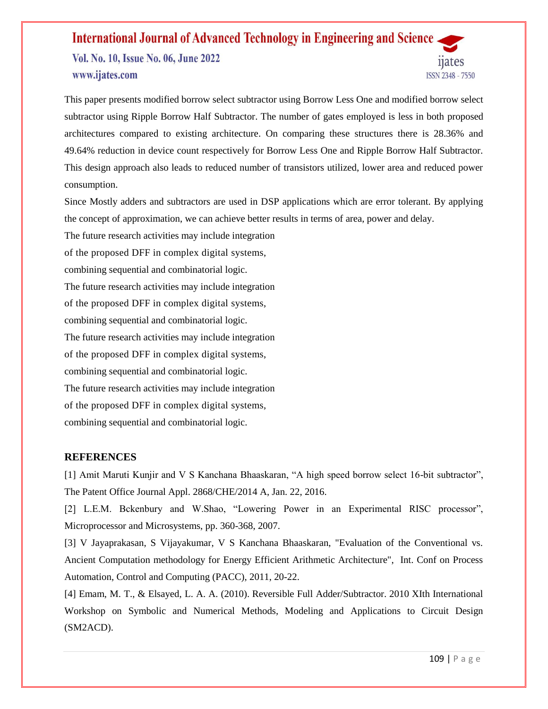Vol. No. 10, Issue No. 06, June 2022 www.ijates.com

This paper presents modified borrow select subtractor using Borrow Less One and modified borrow select subtractor using Ripple Borrow Half Subtractor. The number of gates employed is less in both proposed architectures compared to existing architecture. On comparing these structures there is 28.36% and 49.64% reduction in device count respectively for Borrow Less One and Ripple Borrow Half Subtractor. This design approach also leads to reduced number of transistors utilized, lower area and reduced power consumption.

Since Mostly adders and subtractors are used in DSP applications which are error tolerant. By applying the concept of approximation, we can achieve better results in terms of area, power and delay.

The future research activities may include integration of the proposed DFF in complex digital systems, combining sequential and combinatorial logic. The future research activities may include integration of the proposed DFF in complex digital systems, combining sequential and combinatorial logic. The future research activities may include integration of the proposed DFF in complex digital systems, combining sequential and combinatorial logic. The future research activities may include integration of the proposed DFF in complex digital systems, combining sequential and combinatorial logic.

## **REFERENCES**

[1] Amit Maruti Kunjir and V S Kanchana Bhaaskaran, "A high speed borrow select 16-bit subtractor", The Patent Office Journal Appl. 2868/CHE/2014 A, Jan. 22, 2016.

[2] L.E.M. Bckenbury and W.Shao, "Lowering Power in an Experimental RISC processor", Microprocessor and Microsystems, pp. 360-368, 2007.

[3] V Jayaprakasan, S Vijayakumar, V S Kanchana Bhaaskaran, "Evaluation of the Conventional vs. Ancient Computation methodology for Energy Efficient Arithmetic Architecture", Int. Conf on Process Automation, Control and Computing (PACC), 2011, 20-22.

[4] Emam, M. T., & Elsayed, L. A. A. (2010). Reversible Full Adder/Subtractor. 2010 XIth International Workshop on Symbolic and Numerical Methods, Modeling and Applications to Circuit Design (SM2ACD).

ISSN 2348 - 7550